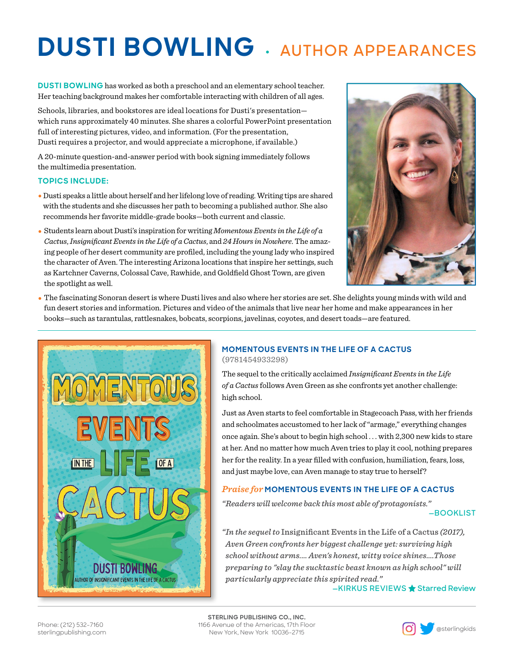# **DUSTI BOWLING • AUTHOR APPEARANCES**

**DUSTI BOWLING** has worked as both a preschool and an elementary school teacher. Her teaching background makes her comfortable interacting with children of all ages.

Schools, libraries, and bookstores are ideal locations for Dusti's presentation which runs approximately 40 minutes. She shares a colorful PowerPoint presentation full of interesting pictures, video, and information. (For the presentation, Dusti requires a projector, and would appreciate a microphone, if available.)

A 20-minute question-and-answer period with book signing immediately follows the multimedia presentation.

### **TOPICS INCLUDE:**

- **•** Dusti speaks a little about herself and her lifelong love of reading. Writing tips are shared with the students and she discusses her path to becoming a published author. She also recommends her favorite middle-grade books—both current and classic.
- Students learn about Dusti's inspiration for writing *Momentous Events in the Life of a Cactus*, *Insignificant Events in the Life of a Cactus*, and *24 Hours in Nowhere*. The amazing people of her desert community are profiled, including the young lady who inspired the character of Aven. The interesting Arizona locations that inspire her settings, such as Kartchner Caverns, Colossal Cave, Rawhide, and Goldfield Ghost Town, are given the spotlight as well.



**•** The fascinating Sonoran desert is where Dusti lives and also where her stories are set. She delights young minds with wild and fun desert stories and information. Pictures and video of the animals that live near her home and make appearances in her books—such as tarantulas, rattlesnakes, bobcats, scorpions, javelinas, coyotes, and desert toads—are featured.



### **MOMENTOUS EVENTS IN THE LIFE OF A CACTUS** (9781454933298)

The sequel to the critically acclaimed *Insignificant Events in the Life of a Cactus* follows Aven Green as she confronts yet another challenge: high school.

Just as Aven starts to feel comfortable in Stagecoach Pass, with her friends and schoolmates accustomed to her lack of "armage," everything changes once again. She's about to begin high school . . . with 2,300 new kids to stare at her. And no matter how much Aven tries to play it cool, nothing prepares her for the reality. In a year filled with confusion, humiliation, fears, loss, and just maybe love, can Aven manage to stay true to herself?

## *Praise for* **MOMENTOUS EVENTS IN THE LIFE OF A CACTUS**

*"Readers will welcome back this most able of protagonists."*

**—BOOKLIST**

*"In the sequel to* Insignificant Events in the Life of a Cactus *(2017), Aven Green confronts her biggest challenge yet: surviving high school without arms.… Aven's honest, witty voice shines….Those preparing to "slay the sucktastic beast known as high school" will particularly appreciate this spirited read."* **—KIRKUS REVIEWS Starred Review**